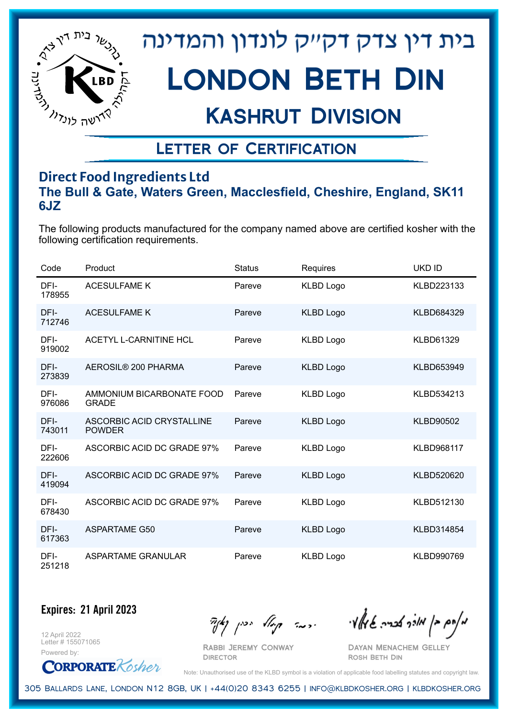

## Kashrut Division

## Letter of Certification

### **Direct Food Ingredients Ltd The Bull & Gate, Waters Green, Macclesfield, Cheshire, England, SK11 6JZ**

The following products manufactured for the company named above are certified kosher with the following certification requirements.

| Code           | Product                                    | <b>Status</b> | Requires         | <b>UKD ID</b>     |
|----------------|--------------------------------------------|---------------|------------------|-------------------|
| DFI-<br>178955 | <b>ACESULFAME K</b>                        | Pareve        | <b>KLBD Logo</b> | KLBD223133        |
| DFI-<br>712746 | <b>ACESULFAME K</b>                        | Pareve        | <b>KLBD Logo</b> | KLBD684329        |
| DFI-<br>919002 | <b>ACETYL L-CARNITINE HCL</b>              | Pareve        | <b>KLBD Logo</b> | <b>KLBD61329</b>  |
| DFI-<br>273839 | AEROSIL® 200 PHARMA                        | Pareve        | <b>KLBD Logo</b> | KLBD653949        |
| DFI-<br>976086 | AMMONIUM BICARBONATE FOOD<br><b>GRADE</b>  | Pareve        | <b>KLBD Logo</b> | KLBD534213        |
| DFI-<br>743011 | ASCORBIC ACID CRYSTALLINE<br><b>POWDER</b> | Pareve        | <b>KLBD Logo</b> | <b>KLBD90502</b>  |
| DFI-<br>222606 | ASCORBIC ACID DC GRADE 97%                 | Pareve        | <b>KLBD Logo</b> | <b>KLBD968117</b> |
| DFI-<br>419094 | ASCORBIC ACID DC GRADE 97%                 | Pareve        | <b>KLBD Logo</b> | KLBD520620        |
| DFI-<br>678430 | ASCORBIC ACID DC GRADE 97%                 | Pareve        | <b>KLBD Logo</b> | KLBD512130        |
| DFI-<br>617363 | <b>ASPARTAME G50</b>                       | Pareve        | <b>KLBD Logo</b> | KLBD314854        |
| DFI-<br>251218 | ASPARTAME GRANULAR                         | Pareve        | <b>KLBD Logo</b> | KLBD990769        |

**Expires: 21 April 2023**

12 April 2022 Letter # 155071065



Rabbi Jeremy Conway

 $\mathcal{H}_{\mathcal{C}}$   $\mathcal{H}_{\mathcal{C}}$   $\mathcal{H}_{\mathcal{C}}$   $\mathcal{H}_{\mathcal{C}}$   $\mathcal{H}_{\mathcal{C}}$   $\mathcal{H}_{\mathcal{C}}$   $\mathcal{H}_{\mathcal{C}}$   $\mathcal{H}_{\mathcal{C}}$   $\mathcal{H}_{\mathcal{C}}$   $\mathcal{H}_{\mathcal{C}}$   $\mathcal{H}_{\mathcal{C}}$   $\mathcal{H}_{\mathcal{C}}$ 

Dayan Menachem Gelley Rosh Beth Din

Note: Unauthorised use of the KLBD symbol is a violation of applicable food labelling statutes and copyright law.

305 Ballards Lane, London N12 8GB, UK | +44(0)20 8343 6255 | info@klbdkosher.org | klbdkosher.org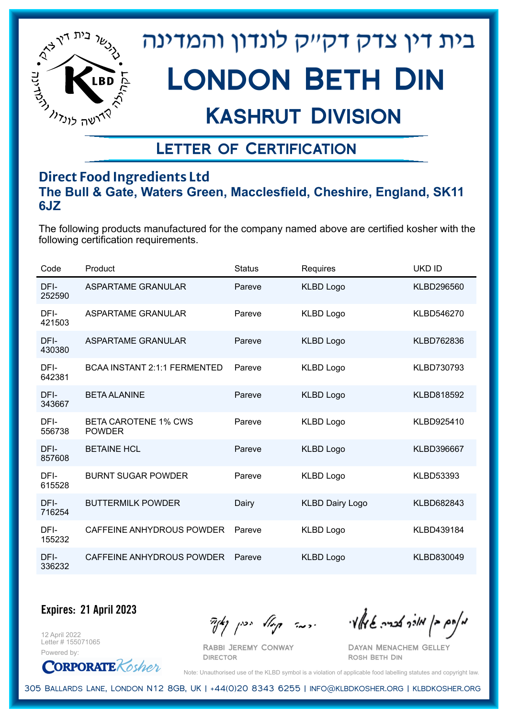

## Kashrut Division

## Letter of Certification

### **Direct Food Ingredients Ltd The Bull & Gate, Waters Green, Macclesfield, Cheshire, England, SK11 6JZ**

The following products manufactured for the company named above are certified kosher with the following certification requirements.

| Code           | Product                                      | <b>Status</b> | Requires               | <b>UKD ID</b>    |
|----------------|----------------------------------------------|---------------|------------------------|------------------|
| DFI-<br>252590 | <b>ASPARTAME GRANULAR</b>                    | Pareve        | <b>KLBD Logo</b>       | KLBD296560       |
| DFI-<br>421503 | ASPARTAME GRANULAR                           | Pareve        | <b>KLBD Logo</b>       | KLBD546270       |
| DFI-<br>430380 | ASPARTAME GRANULAR                           | Pareve        | <b>KLBD Logo</b>       | KLBD762836       |
| DFI-<br>642381 | <b>BCAA INSTANT 2:1:1 FERMENTED</b>          | Pareve        | <b>KLBD Logo</b>       | KLBD730793       |
| DFI-<br>343667 | <b>BETA ALANINE</b>                          | Pareve        | <b>KLBD Logo</b>       | KLBD818592       |
| DFI-<br>556738 | <b>BETA CAROTENE 1% CWS</b><br><b>POWDER</b> | Pareve        | <b>KLBD Logo</b>       | KLBD925410       |
| DFI-<br>857608 | <b>BETAINE HCL</b>                           | Pareve        | <b>KLBD Logo</b>       | KLBD396667       |
| DFI-<br>615528 | <b>BURNT SUGAR POWDER</b>                    | Pareve        | <b>KLBD Logo</b>       | <b>KLBD53393</b> |
| DFI-<br>716254 | <b>BUTTERMILK POWDER</b>                     | Dairy         | <b>KLBD Dairy Logo</b> | KLBD682843       |
| DFI-<br>155232 | CAFFEINE ANHYDROUS POWDER                    | Pareve        | <b>KLBD Logo</b>       | KLBD439184       |
| DFI-<br>336232 | CAFFEINE ANHYDROUS POWDER                    | Pareve        | <b>KLBD Logo</b>       | KLBD830049       |

**Expires: 21 April 2023**

12 April 2022 Letter # 155071065



 $\mathcal{H}_{\mathcal{C}}$   $\mathcal{H}_{\mathcal{C}}$   $\mathcal{H}_{\mathcal{C}}$   $\mathcal{H}_{\mathcal{C}}$   $\mathcal{H}_{\mathcal{C}}$   $\mathcal{H}_{\mathcal{C}}$   $\mathcal{H}_{\mathcal{C}}$   $\mathcal{H}_{\mathcal{C}}$   $\mathcal{H}_{\mathcal{C}}$   $\mathcal{H}_{\mathcal{C}}$   $\mathcal{H}_{\mathcal{C}}$   $\mathcal{H}_{\mathcal{C}}$ 

Rabbi Jeremy Conway **DIRECTOR** 

Dayan Menachem Gelley Rosh Beth Din

Note: Unauthorised use of the KLBD symbol is a violation of applicable food labelling statutes and copyright law.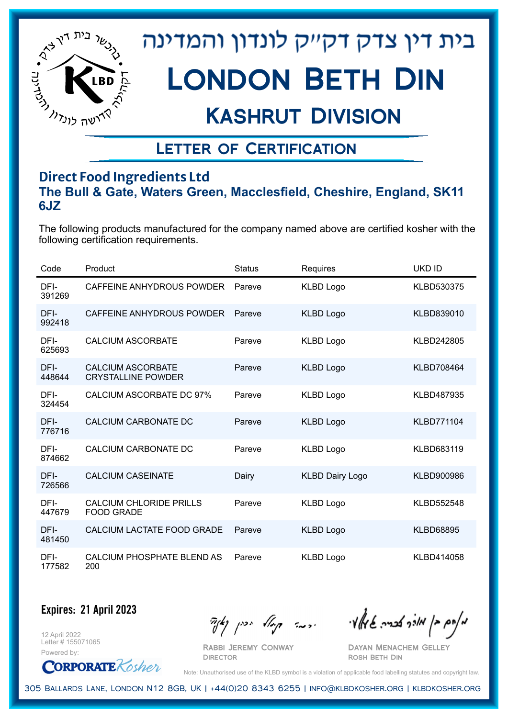

## Kashrut Division

## Letter of Certification

### **Direct Food Ingredients Ltd The Bull & Gate, Waters Green, Macclesfield, Cheshire, England, SK11 6JZ**

The following products manufactured for the company named above are certified kosher with the following certification requirements.

| Code           | Product                                               | <b>Status</b> | Requires               | UKD ID            |
|----------------|-------------------------------------------------------|---------------|------------------------|-------------------|
| DFI-<br>391269 | CAFFEINE ANHYDROUS POWDER                             | Pareve        | <b>KLBD Logo</b>       | KLBD530375        |
| DFI-<br>992418 | CAFFEINE ANHYDROUS POWDER                             | Pareve        | <b>KLBD Logo</b>       | KLBD839010        |
| DFI-<br>625693 | <b>CALCIUM ASCORBATE</b>                              | Pareve        | <b>KLBD Logo</b>       | KLBD242805        |
| DFI-<br>448644 | <b>CALCIUM ASCORBATE</b><br><b>CRYSTALLINE POWDER</b> | Pareve        | <b>KLBD Logo</b>       | KLBD708464        |
| DFI-<br>324454 | <b>CALCIUM ASCORBATE DC 97%</b>                       | Pareve        | <b>KLBD Logo</b>       | <b>KLBD487935</b> |
| DFI-<br>776716 | <b>CALCIUM CARBONATE DC</b>                           | Pareve        | <b>KLBD Logo</b>       | <b>KLBD771104</b> |
| DFI-<br>874662 | CALCIUM CARBONATE DC                                  | Pareve        | <b>KLBD Logo</b>       | KLBD683119        |
| DFI-<br>726566 | <b>CALCIUM CASEINATE</b>                              | Dairy         | <b>KLBD Dairy Logo</b> | KLBD900986        |
| DFI-<br>447679 | <b>CALCIUM CHLORIDE PRILLS</b><br><b>FOOD GRADE</b>   | Pareve        | <b>KLBD Logo</b>       | <b>KLBD552548</b> |
| DFI-<br>481450 | CALCIUM LACTATE FOOD GRADE                            | Pareve        | <b>KLBD Logo</b>       | <b>KLBD68895</b>  |
| DFI-<br>177582 | CALCIUM PHOSPHATE BLEND AS<br>200                     | Pareve        | <b>KLBD Logo</b>       | KLBD414058        |

**Expires: 21 April 2023**

12 April 2022 Letter # 155071065 Powered by:

**CORPORATE** Kosher

Rabbi Jeremy Conway

 $\mathcal{H}_{\mathcal{C}}$   $\mathcal{H}_{\mathcal{C}}$   $\mathcal{H}_{\mathcal{C}}$   $\mathcal{H}_{\mathcal{C}}$   $\mathcal{H}_{\mathcal{C}}$   $\mathcal{H}_{\mathcal{C}}$   $\mathcal{H}_{\mathcal{C}}$   $\mathcal{H}_{\mathcal{C}}$   $\mathcal{H}_{\mathcal{C}}$   $\mathcal{H}_{\mathcal{C}}$   $\mathcal{H}_{\mathcal{C}}$   $\mathcal{H}_{\mathcal{C}}$ 

Dayan Menachem Gelley Rosh Beth Din

Note: Unauthorised use of the KLBD symbol is a violation of applicable food labelling statutes and copyright law.

305 Ballards Lane, London N12 8GB, UK | +44(0)20 8343 6255 | info@klbdkosher.org | klbdkosher.org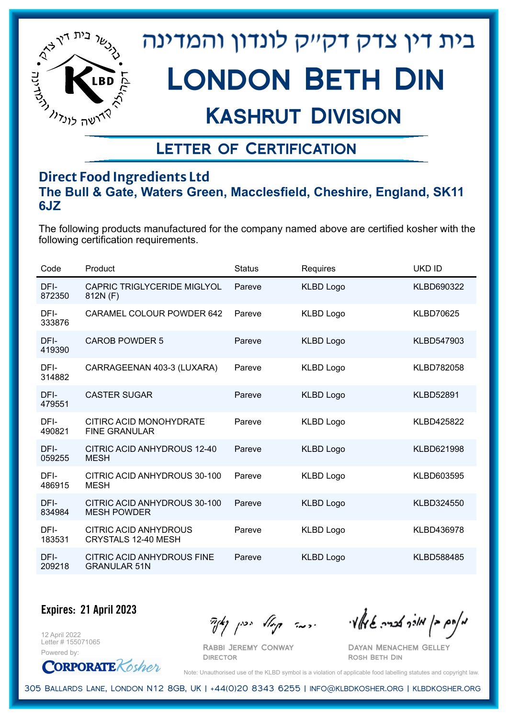

## Kashrut Division

### Letter of Certification

### **Direct Food Ingredients Ltd The Bull & Gate, Waters Green, Macclesfield, Cheshire, England, SK11 6JZ**

The following products manufactured for the company named above are certified kosher with the following certification requirements.

| Code           | Product                                            | <b>Status</b> | <b>Requires</b>  | <b>UKD ID</b>     |
|----------------|----------------------------------------------------|---------------|------------------|-------------------|
| DFI-<br>872350 | <b>CAPRIC TRIGLYCERIDE MIGLYOL</b><br>812N (F)     | Pareve        | <b>KLBD Logo</b> | KLBD690322        |
| DFI-<br>333876 | <b>CARAMEL COLOUR POWDER 642</b>                   | Pareve        | <b>KLBD Logo</b> | <b>KLBD70625</b>  |
| DFI-<br>419390 | <b>CAROB POWDER 5</b>                              | Pareve        | <b>KLBD Logo</b> | KLBD547903        |
| DFI-<br>314882 | CARRAGEENAN 403-3 (LUXARA)                         | Pareve        | <b>KLBD Logo</b> | KLBD782058        |
| DFI-<br>479551 | <b>CASTER SUGAR</b>                                | Pareve        | <b>KLBD Logo</b> | <b>KLBD52891</b>  |
| DFI-<br>490821 | CITIRC ACID MONOHYDRATE<br><b>FINE GRANULAR</b>    | Pareve        | <b>KLBD Logo</b> | <b>KLBD425822</b> |
| DFI-<br>059255 | CITRIC ACID ANHYDROUS 12-40<br><b>MESH</b>         | Pareve        | <b>KLBD Logo</b> | KLBD621998        |
| DFI-<br>486915 | CITRIC ACID ANHYDROUS 30-100<br><b>MESH</b>        | Pareve        | <b>KLBD Logo</b> | KLBD603595        |
| DFI-<br>834984 | CITRIC ACID ANHYDROUS 30-100<br><b>MESH POWDER</b> | Pareve        | <b>KLBD Logo</b> | KLBD324550        |
| DFI-<br>183531 | CITRIC ACID ANHYDROUS<br>CRYSTALS 12-40 MESH       | Pareve        | <b>KLBD Logo</b> | KLBD436978        |
| DFI-<br>209218 | CITRIC ACID ANHYDROUS FINE<br><b>GRANULAR 51N</b>  | Pareve        | <b>KLBD Logo</b> | <b>KLBD588485</b> |

#### **Expires: 21 April 2023**

12 April 2022 Letter # 155071065



Rabbi Jeremy Conway

 $\frac{1}{2}$ אלה אברה שיאלי ווינדי שיאלי וואדו בין קיצו

Dayan Menachem Gelley Rosh Beth Din

Note: Unauthorised use of the KLBD symbol is a violation of applicable food labelling statutes and copyright law.

305 Ballards Lane, London N12 8GB, UK | +44(0)20 8343 6255 | info@klbdkosher.org | klbdkosher.org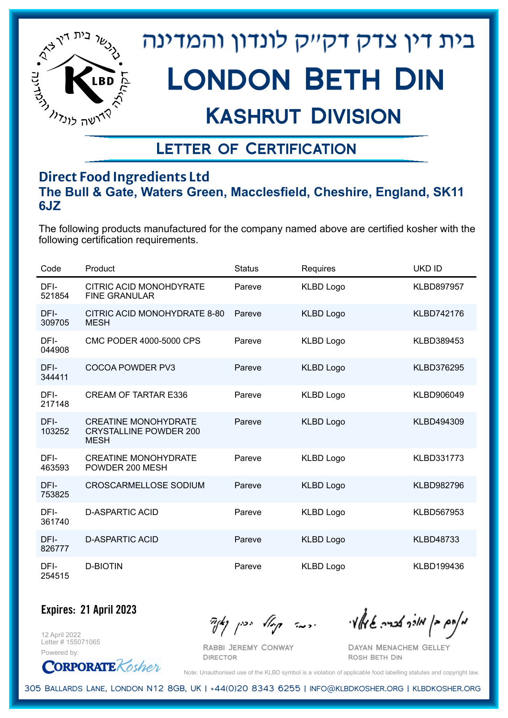

## Kashrut Division

## Letter of Certification

### **Direct Food Ingredients Ltd The Bull & Gate, Waters Green, Macclesfield, Cheshire, England, SK11 6JZ**

The following products manufactured for the company named above are certified kosher with the following certification requirements.

| Code           | Product                                                                     | <b>Status</b> | Requires         | UKD ID            |
|----------------|-----------------------------------------------------------------------------|---------------|------------------|-------------------|
| DFI-<br>521854 | CITRIC ACID MONOHDYRATE<br><b>FINE GRANULAR</b>                             | Pareve        | <b>KLBD Logo</b> | KLBD897957        |
| DFI-<br>309705 | CITRIC ACID MONOHYDRATE 8-80<br><b>MESH</b>                                 | Pareve        | <b>KLBD Logo</b> | KLBD742176        |
| DFI-<br>044908 | <b>CMC PODER 4000-5000 CPS</b>                                              | Pareve        | <b>KLBD Logo</b> | KLBD389453        |
| DFI-<br>344411 | COCOA POWDER PV3                                                            | Pareve        | <b>KLBD Logo</b> | KLBD376295        |
| DFI-<br>217148 | <b>CREAM OF TARTAR E336</b>                                                 | Pareve        | <b>KLBD Logo</b> | KLBD906049        |
| DFI-<br>103252 | <b>CREATINE MONOHYDRATE</b><br><b>CRYSTALLINE POWDER 200</b><br><b>MESH</b> | Pareve        | <b>KLBD Logo</b> | KLBD494309        |
| DFI-<br>463593 | <b>CREATINE MONOHYDRATE</b><br>POWDER 200 MESH                              | Pareve        | <b>KLBD Logo</b> | KLBD331773        |
| DFI-<br>753825 | <b>CROSCARMELLOSE SODIUM</b>                                                | Pareve        | <b>KLBD Logo</b> | <b>KLBD982796</b> |
| DFI-<br>361740 | <b>D-ASPARTIC ACID</b>                                                      | Pareve        | <b>KLBD Logo</b> | KLBD567953        |
| DFI-<br>826777 | <b>D-ASPARTIC ACID</b>                                                      | Pareve        | <b>KLBD Logo</b> | <b>KLBD48733</b>  |
| DFI-<br>254515 | <b>D-BIOTIN</b>                                                             | Pareve        | <b>KLBD Logo</b> | KLBD199436        |

#### **Expires: 21 April 2023**

12 April 2022 Letter # 155071065 Powered by:

**CORPORATE** Kosher

Rabbi Jeremy Conway

**DIRECTOR** 

 $\mathcal{H}_{\mathcal{C}}$   $\mathcal{H}_{\mathcal{C}}$   $\mathcal{H}_{\mathcal{C}}$   $\mathcal{H}_{\mathcal{C}}$   $\mathcal{H}_{\mathcal{C}}$   $\mathcal{H}_{\mathcal{C}}$   $\mathcal{H}_{\mathcal{C}}$   $\mathcal{H}_{\mathcal{C}}$   $\mathcal{H}_{\mathcal{C}}$   $\mathcal{H}_{\mathcal{C}}$   $\mathcal{H}_{\mathcal{C}}$   $\mathcal{H}_{\mathcal{C}}$ 

Dayan Menachem Gelley Rosh Beth Din

Note: Unauthorised use of the KLBD symbol is a violation of applicable food labelling statutes and copyright law.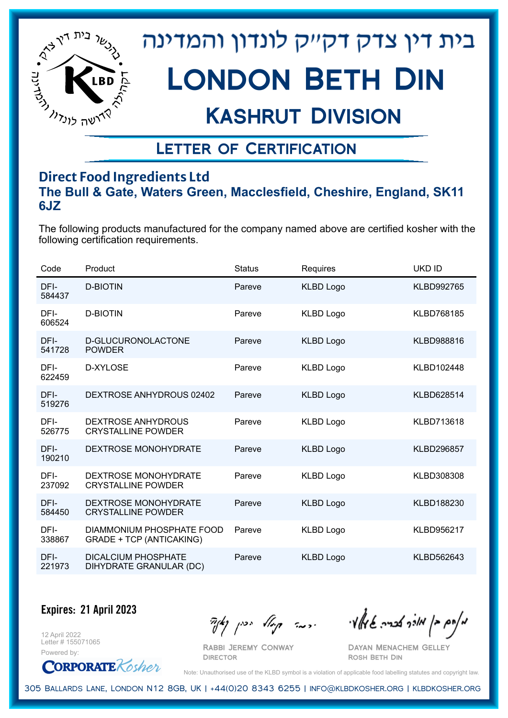

## Kashrut Division

## Letter of Certification

### **Direct Food Ingredients Ltd The Bull & Gate, Waters Green, Macclesfield, Cheshire, England, SK11 6JZ**

The following products manufactured for the company named above are certified kosher with the following certification requirements.

| Code           | Product                                                      | <b>Status</b> | Requires         | UKD ID            |
|----------------|--------------------------------------------------------------|---------------|------------------|-------------------|
| DFI-<br>584437 | <b>D-BIOTIN</b>                                              | Pareve        | <b>KLBD Logo</b> | KLBD992765        |
| DFI-<br>606524 | <b>D-BIOTIN</b>                                              | Pareve        | <b>KLBD Logo</b> | KLBD768185        |
| DFI-<br>541728 | D-GLUCURONOLACTONE<br><b>POWDER</b>                          | Pareve        | <b>KLBD Logo</b> | <b>KLBD988816</b> |
| DFI-<br>622459 | D-XYLOSE                                                     | Pareve        | <b>KLBD Logo</b> | KLBD102448        |
| DFI-<br>519276 | DEXTROSE ANHYDROUS 02402                                     | Pareve        | <b>KLBD Logo</b> | KLBD628514        |
| DFI-<br>526775 | <b>DEXTROSE ANHYDROUS</b><br><b>CRYSTALLINE POWDER</b>       | Pareve        | <b>KLBD Logo</b> | <b>KLBD713618</b> |
| DFI-<br>190210 | <b>DEXTROSE MONOHYDRATE</b>                                  | Pareve        | <b>KLBD Logo</b> | <b>KLBD296857</b> |
| DFI-<br>237092 | <b>DEXTROSE MONOHYDRATE</b><br><b>CRYSTALLINE POWDER</b>     | Pareve        | <b>KLBD Logo</b> | KLBD308308        |
| DFI-<br>584450 | <b>DEXTROSE MONOHYDRATE</b><br><b>CRYSTALLINE POWDER</b>     | Pareve        | <b>KLBD Logo</b> | KLBD188230        |
| DFI-<br>338867 | DIAMMONIUM PHOSPHATE FOOD<br><b>GRADE + TCP (ANTICAKING)</b> | Pareve        | <b>KLBD Logo</b> | KLBD956217        |
| DFI-<br>221973 | <b>DICALCIUM PHOSPHATE</b><br>DIHYDRATE GRANULAR (DC)        | Pareve        | <b>KLBD Logo</b> | KLBD562643        |

#### **Expires: 21 April 2023**

12 April 2022 Letter # 155071065



Rabbi Jeremy Conway

 $\frac{1}{2}$ אלה אברה שיאלי ווינדי שיאלי וואדו בין קיצו

Dayan Menachem Gelley Rosh Beth Din

Note: Unauthorised use of the KLBD symbol is a violation of applicable food labelling statutes and copyright law.

305 Ballards Lane, London N12 8GB, UK | +44(0)20 8343 6255 | info@klbdkosher.org | klbdkosher.org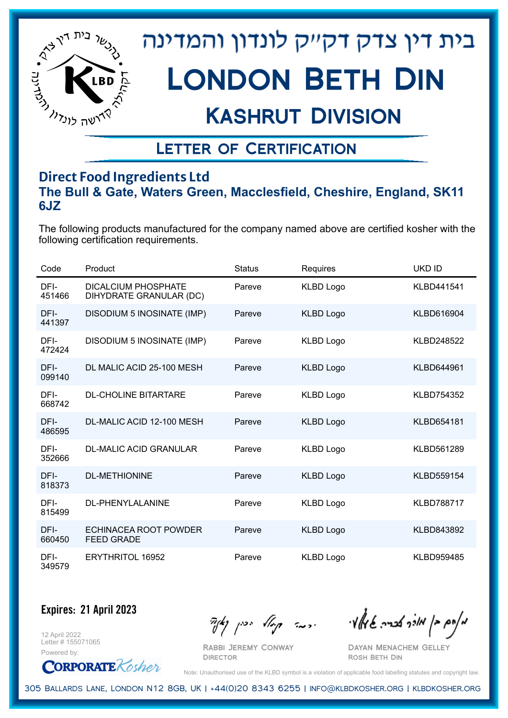

## Kashrut Division

## Letter of Certification

### **Direct Food Ingredients Ltd The Bull & Gate, Waters Green, Macclesfield, Cheshire, England, SK11 6JZ**

The following products manufactured for the company named above are certified kosher with the following certification requirements.

| Code           | Product                                               | <b>Status</b> | Requires         | UKD ID            |
|----------------|-------------------------------------------------------|---------------|------------------|-------------------|
| DFI-<br>451466 | <b>DICALCIUM PHOSPHATE</b><br>DIHYDRATE GRANULAR (DC) | Pareve        | <b>KLBD Logo</b> | KLBD441541        |
| DFI-<br>441397 | DISODIUM 5 INOSINATE (IMP)                            | Pareve        | <b>KLBD Logo</b> | <b>KLBD616904</b> |
| DFI-<br>472424 | DISODIUM 5 INOSINATE (IMP)                            | Pareve        | <b>KLBD Logo</b> | <b>KLBD248522</b> |
| DFI-<br>099140 | DL MALIC ACID 25-100 MESH                             | Pareve        | <b>KLBD Logo</b> | KLBD644961        |
| DFI-<br>668742 | <b>DL-CHOLINE BITARTARE</b>                           | Pareve        | <b>KLBD Logo</b> | KLBD754352        |
| DFI-<br>486595 | DL-MALIC ACID 12-100 MESH                             | Pareve        | <b>KLBD Logo</b> | <b>KLBD654181</b> |
| DFI-<br>352666 | DL-MALIC ACID GRANULAR                                | Pareve        | <b>KLBD Logo</b> | KLBD561289        |
| DFI-<br>818373 | <b>DL-METHIONINE</b>                                  | Pareve        | <b>KLBD Logo</b> | <b>KLBD559154</b> |
| DFI-<br>815499 | <b>DL-PHENYLALANINE</b>                               | Pareve        | <b>KLBD Logo</b> | <b>KLBD788717</b> |
| DFI-<br>660450 | ECHINACEA ROOT POWDER<br><b>FEED GRADE</b>            | Pareve        | <b>KLBD Logo</b> | <b>KLBD843892</b> |
| DFI-<br>349579 | <b>ERYTHRITOL 16952</b>                               | Pareve        | <b>KLBD Logo</b> | <b>KLBD959485</b> |

**Expires: 21 April 2023**

12 April 2022 Letter # 155071065 Powered by:

**CORPORATE** Kosher

Rabbi Jeremy Conway

**DIRECTOR** 

מאחם בן מורך אבריה שמאלי היה קיילא יכין קאין

Dayan Menachem Gelley Rosh Beth Din

Note: Unauthorised use of the KLBD symbol is a violation of applicable food labelling statutes and copyright law.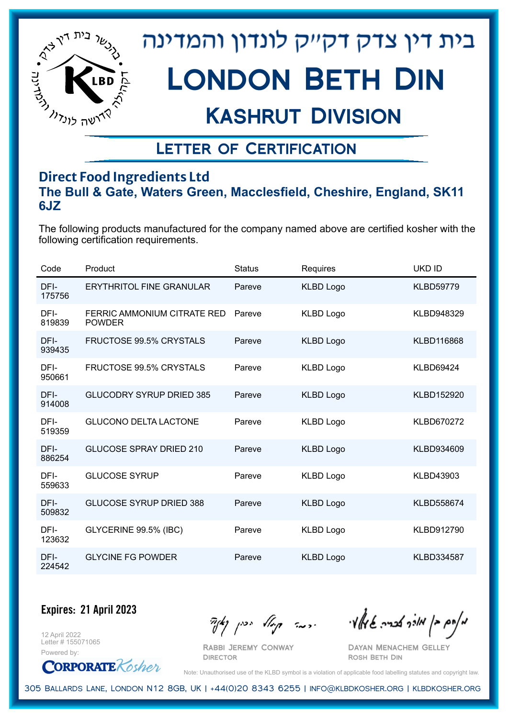

## Kashrut Division

## Letter of Certification

### **Direct Food Ingredients Ltd The Bull & Gate, Waters Green, Macclesfield, Cheshire, England, SK11 6JZ**

The following products manufactured for the company named above are certified kosher with the following certification requirements.

| Code           | Product                                      | <b>Status</b> | Requires         | <b>UKD ID</b>     |
|----------------|----------------------------------------------|---------------|------------------|-------------------|
| DFI-<br>175756 | <b>ERYTHRITOL FINE GRANULAR</b>              | Pareve        | <b>KLBD Logo</b> | <b>KLBD59779</b>  |
| DFI-<br>819839 | FERRIC AMMONIUM CITRATE RED<br><b>POWDER</b> | Pareve        | <b>KLBD Logo</b> | KLBD948329        |
| DFI-<br>939435 | <b>FRUCTOSE 99.5% CRYSTALS</b>               | Pareve        | <b>KLBD Logo</b> | KLBD116868        |
| DFI-<br>950661 | <b>FRUCTOSE 99.5% CRYSTALS</b>               | Pareve        | <b>KLBD Logo</b> | <b>KLBD69424</b>  |
| DFI-<br>914008 | <b>GLUCODRY SYRUP DRIED 385</b>              | Pareve        | <b>KLBD Logo</b> | KLBD152920        |
| DFI-<br>519359 | <b>GLUCONO DELTA LACTONE</b>                 | Pareve        | <b>KLBD Logo</b> | KLBD670272        |
| DFI-<br>886254 | <b>GLUCOSE SPRAY DRIED 210</b>               | Pareve        | <b>KLBD Logo</b> | KLBD934609        |
| DFI-<br>559633 | <b>GLUCOSE SYRUP</b>                         | Pareve        | <b>KLBD Logo</b> | KLBD43903         |
| DFI-<br>509832 | <b>GLUCOSE SYRUP DRIED 388</b>               | Pareve        | <b>KLBD Logo</b> | <b>KLBD558674</b> |
| DFI-<br>123632 | GLYCERINE 99.5% (IBC)                        | Pareve        | <b>KLBD Logo</b> | KLBD912790        |
| DFI-<br>224542 | <b>GLYCINE FG POWDER</b>                     | Pareve        | <b>KLBD Logo</b> | <b>KLBD334587</b> |

**Expires: 21 April 2023**

12 April 2022 Letter # 155071065



Rabbi Jeremy Conway

 $\mathcal{H}_{\mathcal{C}}$   $\mathcal{H}_{\mathcal{C}}$   $\mathcal{H}_{\mathcal{C}}$   $\mathcal{H}_{\mathcal{C}}$   $\mathcal{H}_{\mathcal{C}}$   $\mathcal{H}_{\mathcal{C}}$   $\mathcal{H}_{\mathcal{C}}$   $\mathcal{H}_{\mathcal{C}}$   $\mathcal{H}_{\mathcal{C}}$   $\mathcal{H}_{\mathcal{C}}$   $\mathcal{H}_{\mathcal{C}}$   $\mathcal{H}_{\mathcal{C}}$ 

Dayan Menachem Gelley Rosh Beth Din

Note: Unauthorised use of the KLBD symbol is a violation of applicable food labelling statutes and copyright law.

305 Ballards Lane, London N12 8GB, UK | +44(0)20 8343 6255 | info@klbdkosher.org | klbdkosher.org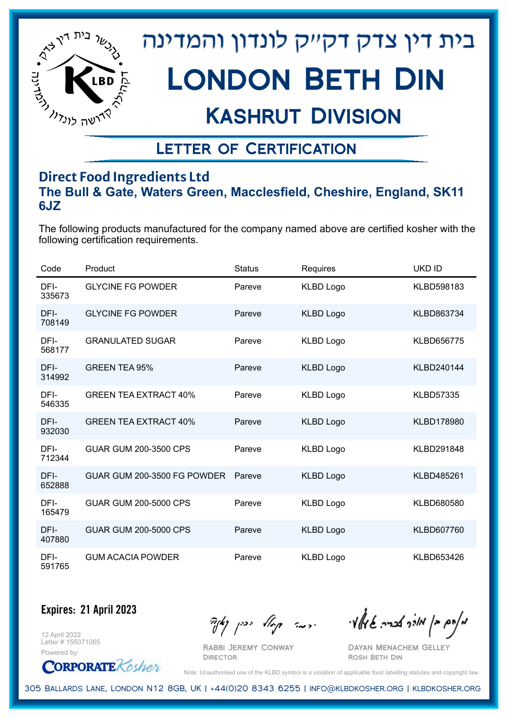

## Kashrut Division

## Letter of Certification

### **Direct Food Ingredients Ltd The Bull & Gate, Waters Green, Macclesfield, Cheshire, England, SK11 6JZ**

The following products manufactured for the company named above are certified kosher with the following certification requirements.

| Code           | Product                      | <b>Status</b> | Requires         | UKD ID            |
|----------------|------------------------------|---------------|------------------|-------------------|
| DFI-<br>335673 | <b>GLYCINE FG POWDER</b>     | Pareve        | <b>KLBD Logo</b> | KLBD598183        |
| DFI-<br>708149 | <b>GLYCINE FG POWDER</b>     | Pareve        | <b>KLBD Logo</b> | KLBD863734        |
| DFI-<br>568177 | <b>GRANULATED SUGAR</b>      | Pareve        | <b>KLBD Logo</b> | KLBD656775        |
| DFI-<br>314992 | <b>GREEN TEA 95%</b>         | Pareve        | <b>KLBD Logo</b> | KLBD240144        |
| DFI-<br>546335 | <b>GREEN TEA EXTRACT 40%</b> | Pareve        | <b>KLBD Logo</b> | <b>KLBD57335</b>  |
| DFI-<br>932030 | <b>GREEN TEA EXTRACT 40%</b> | Pareve        | <b>KLBD Logo</b> | <b>KLBD178980</b> |
| DFI-<br>712344 | <b>GUAR GUM 200-3500 CPS</b> | Pareve        | <b>KLBD Logo</b> | KLBD291848        |
| DFI-<br>652888 | GUAR GUM 200-3500 FG POWDER  | Pareve        | <b>KLBD Logo</b> | KLBD485261        |
| DFI-<br>165479 | <b>GUAR GUM 200-5000 CPS</b> | Pareve        | <b>KLBD Logo</b> | KLBD680580        |
| DFI-<br>407880 | <b>GUAR GUM 200-5000 CPS</b> | Pareve        | <b>KLBD Logo</b> | KLBD607760        |
| DFI-<br>591765 | <b>GUM ACACIA POWDER</b>     | Pareve        | <b>KLBD Logo</b> | KLBD653426        |

**Expires: 21 April 2023**

12 April 2022 Letter # 155071065



Rabbi Jeremy Conway

מאחם בן מורך אבריה שמאלי היה קיילא יכין קאין

Dayan Menachem Gelley Rosh Beth Din

Note: Unauthorised use of the KLBD symbol is a violation of applicable food labelling statutes and copyright law.

305 Ballards Lane, London N12 8GB, UK | +44(0)20 8343 6255 | info@klbdkosher.org | klbdkosher.org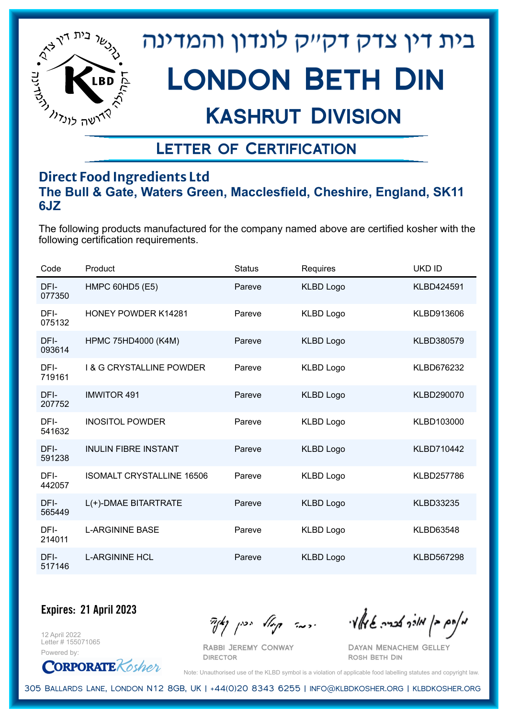

## Kashrut Division

## Letter of Certification

### **Direct Food Ingredients Ltd The Bull & Gate, Waters Green, Macclesfield, Cheshire, England, SK11 6JZ**

The following products manufactured for the company named above are certified kosher with the following certification requirements.

| Code           | Product                             | <b>Status</b> | Requires         | <b>UKD ID</b>     |
|----------------|-------------------------------------|---------------|------------------|-------------------|
| DFI-<br>077350 | <b>HMPC 60HD5 (E5)</b>              | Pareve        | <b>KLBD Logo</b> | KLBD424591        |
| DFI-<br>075132 | <b>HONEY POWDER K14281</b>          | Pareve        | <b>KLBD Logo</b> | KLBD913606        |
| DFI-<br>093614 | HPMC 75HD4000 (K4M)                 | Pareve        | <b>KLBD Logo</b> | KLBD380579        |
| DFI-<br>719161 | <b>1 &amp; G CRYSTALLINE POWDER</b> | Pareve        | <b>KLBD Logo</b> | KLBD676232        |
| DFI-<br>207752 | <b>IMWITOR 491</b>                  | Pareve        | <b>KLBD Logo</b> | KLBD290070        |
| DFI-<br>541632 | <b>INOSITOL POWDER</b>              | Pareve        | <b>KLBD Logo</b> | KLBD103000        |
| DFI-<br>591238 | <b>INULIN FIBRE INSTANT</b>         | Pareve        | <b>KLBD Logo</b> | KLBD710442        |
| DFI-<br>442057 | <b>ISOMALT CRYSTALLINE 16506</b>    | Pareve        | <b>KLBD Logo</b> | KLBD257786        |
| DFI-<br>565449 | L(+)-DMAE BITARTRATE                | Pareve        | <b>KLBD Logo</b> | <b>KLBD33235</b>  |
| DFI-<br>214011 | <b>L-ARGININE BASE</b>              | Pareve        | <b>KLBD Logo</b> | <b>KLBD63548</b>  |
| DFI-<br>517146 | <b>L-ARGININE HCL</b>               | Pareve        | <b>KLBD Logo</b> | <b>KLBD567298</b> |

**Expires: 21 April 2023**

12 April 2022 Letter # 155071065

Powered by: **CORPORATE** Kosher

Rabbi Jeremy Conway

 $\mathcal{H}_{\mathcal{C}}$   $\mathcal{H}_{\mathcal{C}}$   $\mathcal{H}_{\mathcal{C}}$   $\mathcal{H}_{\mathcal{C}}$   $\mathcal{H}_{\mathcal{C}}$   $\mathcal{H}_{\mathcal{C}}$   $\mathcal{H}_{\mathcal{C}}$   $\mathcal{H}_{\mathcal{C}}$   $\mathcal{H}_{\mathcal{C}}$   $\mathcal{H}_{\mathcal{C}}$   $\mathcal{H}_{\mathcal{C}}$   $\mathcal{H}_{\mathcal{C}}$ 

Dayan Menachem Gelley Rosh Beth Din

Note: Unauthorised use of the KLBD symbol is a violation of applicable food labelling statutes and copyright law.

305 Ballards Lane, London N12 8GB, UK | +44(0)20 8343 6255 | info@klbdkosher.org | klbdkosher.org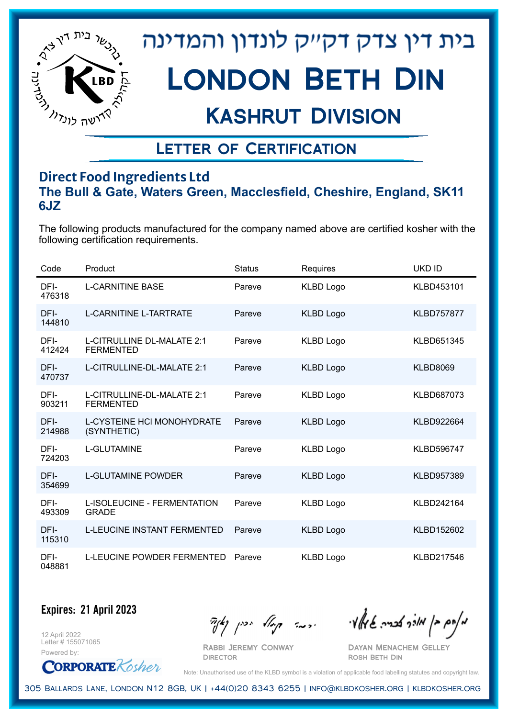

## Kashrut Division

### Letter of Certification

### **Direct Food Ingredients Ltd The Bull & Gate, Waters Green, Macclesfield, Cheshire, England, SK11 6JZ**

The following products manufactured for the company named above are certified kosher with the following certification requirements.

| Code           | Product                                          | <b>Status</b> | <b>Requires</b>  | <b>UKD ID</b>     |
|----------------|--------------------------------------------------|---------------|------------------|-------------------|
| DFI-<br>476318 | <b>L-CARNITINE BASE</b>                          | Pareve        | <b>KLBD Logo</b> | KLBD453101        |
| DFI-<br>144810 | <b>L-CARNITINE L-TARTRATE</b>                    | Pareve        | <b>KLBD Logo</b> | <b>KLBD757877</b> |
| DFI-<br>412424 | L-CITRULLINE DL-MALATE 2:1<br><b>FERMENTED</b>   | Pareve        | <b>KLBD Logo</b> | KLBD651345        |
| DFI-<br>470737 | L-CITRULLINE-DL-MALATE 2:1                       | Pareve        | <b>KLBD Logo</b> | <b>KLBD8069</b>   |
| DFI-<br>903211 | L-CITRULLINE-DL-MALATE 2:1<br><b>FERMENTED</b>   | Pareve        | <b>KLBD Logo</b> | KLBD687073        |
| DFI-<br>214988 | <b>L-CYSTEINE HCI MONOHYDRATE</b><br>(SYNTHETIC) | Pareve        | <b>KLBD Logo</b> | KLBD922664        |
| DFI-<br>724203 | <b>L-GLUTAMINE</b>                               | Pareve        | <b>KLBD Logo</b> | <b>KLBD596747</b> |
| DFI-<br>354699 | <b>L-GLUTAMINE POWDER</b>                        | Pareve        | <b>KLBD Logo</b> | KLBD957389        |
| DFI-<br>493309 | L-ISOLEUCINE - FERMENTATION<br><b>GRADE</b>      | Pareve        | <b>KLBD Logo</b> | KLBD242164        |
| DFI-<br>115310 | <b>L-LEUCINE INSTANT FERMENTED</b>               | Pareve        | <b>KLBD Logo</b> | KLBD152602        |
| DFI-<br>048881 | <b>L-LEUCINE POWDER FERMENTED</b>                | Pareve        | <b>KLBD Logo</b> | KLBD217546        |

**Expires: 21 April 2023**

12 April 2022 Letter # 155071065 Powered by:

**CORPORATE** Kosher

Rabbi Jeremy Conway

 $\mathcal{H}_{\mathcal{C}}$   $\mathcal{H}_{\mathcal{C}}$   $\mathcal{H}_{\mathcal{C}}$   $\mathcal{H}_{\mathcal{C}}$   $\mathcal{H}_{\mathcal{C}}$   $\mathcal{H}_{\mathcal{C}}$   $\mathcal{H}_{\mathcal{C}}$   $\mathcal{H}_{\mathcal{C}}$   $\mathcal{H}_{\mathcal{C}}$   $\mathcal{H}_{\mathcal{C}}$   $\mathcal{H}_{\mathcal{C}}$   $\mathcal{H}_{\mathcal{C}}$ 

Dayan Menachem Gelley Rosh Beth Din

Note: Unauthorised use of the KLBD symbol is a violation of applicable food labelling statutes and copyright law.

305 Ballards Lane, London N12 8GB, UK | +44(0)20 8343 6255 | info@klbdkosher.org | klbdkosher.org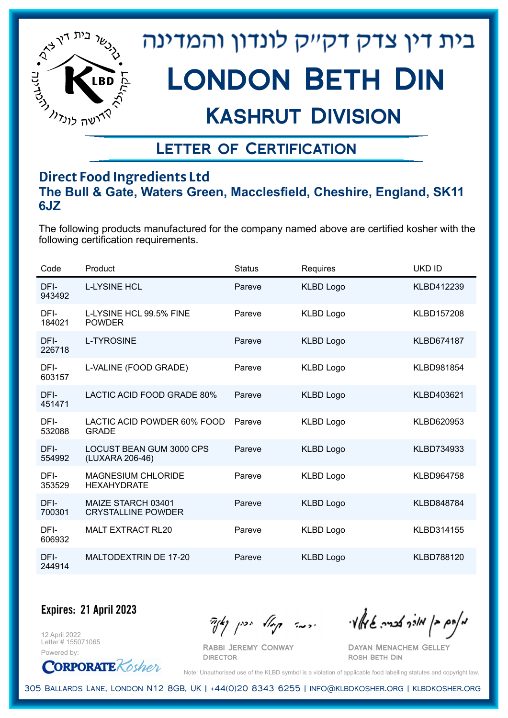

## Kashrut Division

### Letter of Certification

### **Direct Food Ingredients Ltd The Bull & Gate, Waters Green, Macclesfield, Cheshire, England, SK11 6JZ**

The following products manufactured for the company named above are certified kosher with the following certification requirements.

| Code           | Product                                         | <b>Status</b> | Requires         | UKD ID            |
|----------------|-------------------------------------------------|---------------|------------------|-------------------|
| DFI-<br>943492 | <b>L-LYSINE HCL</b>                             | Pareve        | <b>KLBD Logo</b> | KLBD412239        |
| DFI-<br>184021 | L-LYSINE HCL 99.5% FINE<br><b>POWDER</b>        | Pareve        | <b>KLBD Logo</b> | <b>KLBD157208</b> |
| DFI-<br>226718 | <b>L-TYROSINE</b>                               | Pareve        | <b>KLBD Logo</b> | <b>KLBD674187</b> |
| DFI-<br>603157 | L-VALINE (FOOD GRADE)                           | Pareve        | <b>KLBD Logo</b> | KLBD981854        |
| DFI-<br>451471 | LACTIC ACID FOOD GRADE 80%                      | Pareve        | <b>KLBD Logo</b> | KLBD403621        |
| DFI-<br>532088 | LACTIC ACID POWDER 60% FOOD<br><b>GRADE</b>     | Pareve        | <b>KLBD Logo</b> | KLBD620953        |
| DFI-<br>554992 | LOCUST BEAN GUM 3000 CPS<br>(LUXARA 206-46)     | Pareve        | <b>KLBD Logo</b> | KLBD734933        |
| DFI-<br>353529 | <b>MAGNESIUM CHLORIDE</b><br><b>HEXAHYDRATE</b> | Pareve        | <b>KLBD Logo</b> | KLBD964758        |
| DFI-<br>700301 | MAIZE STARCH 03401<br><b>CRYSTALLINE POWDER</b> | Pareve        | <b>KLBD Logo</b> | <b>KLBD848784</b> |
| DFI-<br>606932 | <b>MALT EXTRACT RL20</b>                        | Pareve        | <b>KLBD Logo</b> | KLBD314155        |
| DFI-<br>244914 | MALTODEXTRIN DE 17-20                           | Pareve        | <b>KLBD Logo</b> | KLBD788120        |

**Expires: 21 April 2023**

12 April 2022 Letter # 155071065 Powered by:

**CORPORATE** Kosher

Rabbi Jeremy Conway

 $\frac{1}{2}$ אלה אברה שיאלי ווינדי שיאלי וואדו בין קיצו

Dayan Menachem Gelley Rosh Beth Din

Note: Unauthorised use of the KLBD symbol is a violation of applicable food labelling statutes and copyright law.

305 Ballards Lane, London N12 8GB, UK | +44(0)20 8343 6255 | info@klbdkosher.org | klbdkosher.org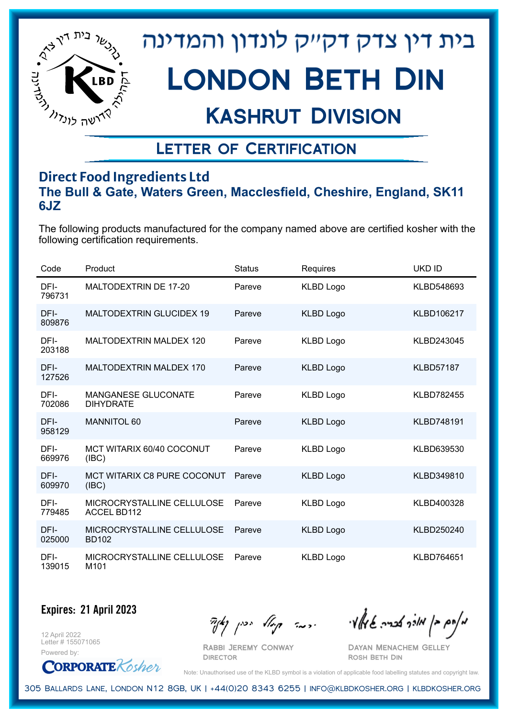

## Kashrut Division

## Letter of Certification

### **Direct Food Ingredients Ltd The Bull & Gate, Waters Green, Macclesfield, Cheshire, England, SK11 6JZ**

The following products manufactured for the company named above are certified kosher with the following certification requirements.

| Code           | Product                                          | <b>Status</b> | Requires         | <b>UKD ID</b>     |
|----------------|--------------------------------------------------|---------------|------------------|-------------------|
| DFI-<br>796731 | MALTODEXTRIN DE 17-20                            | Pareve        | <b>KLBD Logo</b> | KLBD548693        |
| DFI-<br>809876 | <b>MALTODEXTRIN GLUCIDEX 19</b>                  | Pareve        | <b>KLBD Logo</b> | KLBD106217        |
| DFI-<br>203188 | <b>MALTODEXTRIN MALDEX 120</b>                   | Pareve        | <b>KLBD Logo</b> | KLBD243045        |
| DFI-<br>127526 | <b>MALTODEXTRIN MALDEX 170</b>                   | Pareve        | <b>KLBD Logo</b> | <b>KLBD57187</b>  |
| DFI-<br>702086 | <b>MANGANESE GLUCONATE</b><br><b>DIHYDRATE</b>   | Pareve        | <b>KLBD Logo</b> | <b>KLBD782455</b> |
| DFI-<br>958129 | <b>MANNITOL 60</b>                               | Pareve        | <b>KLBD Logo</b> | <b>KLBD748191</b> |
| DFI-<br>669976 | MCT WITARIX 60/40 COCONUT<br>(IBC)               | Pareve        | <b>KLBD Logo</b> | KLBD639530        |
| DFI-<br>609970 | <b>MCT WITARIX C8 PURE COCONUT</b><br>(IBC)      | Pareve        | <b>KLBD Logo</b> | KLBD349810        |
| DFI-<br>779485 | MICROCRYSTALLINE CELLULOSE<br><b>ACCEL BD112</b> | Pareve        | <b>KLBD Logo</b> | KLBD400328        |
| DFI-<br>025000 | MICROCRYSTALLINE CELLULOSE<br><b>BD102</b>       | Pareve        | <b>KLBD Logo</b> | KLBD250240        |
| DFI-<br>139015 | MICROCRYSTALLINE CELLULOSE<br>M <sub>101</sub>   | Pareve        | <b>KLBD Logo</b> | KLBD764651        |

**Expires: 21 April 2023**

12 April 2022 Letter # 155071065



Rabbi Jeremy Conway

 $\mathcal{H}_{\mathcal{C}}$   $\mathcal{H}_{\mathcal{C}}$   $\mathcal{H}_{\mathcal{C}}$   $\mathcal{H}_{\mathcal{C}}$   $\mathcal{H}_{\mathcal{C}}$   $\mathcal{H}_{\mathcal{C}}$   $\mathcal{H}_{\mathcal{C}}$   $\mathcal{H}_{\mathcal{C}}$   $\mathcal{H}_{\mathcal{C}}$   $\mathcal{H}_{\mathcal{C}}$   $\mathcal{H}_{\mathcal{C}}$   $\mathcal{H}_{\mathcal{C}}$ 

Dayan Menachem Gelley Rosh Beth Din

Note: Unauthorised use of the KLBD symbol is a violation of applicable food labelling statutes and copyright law.

305 Ballards Lane, London N12 8GB, UK | +44(0)20 8343 6255 | info@klbdkosher.org | klbdkosher.org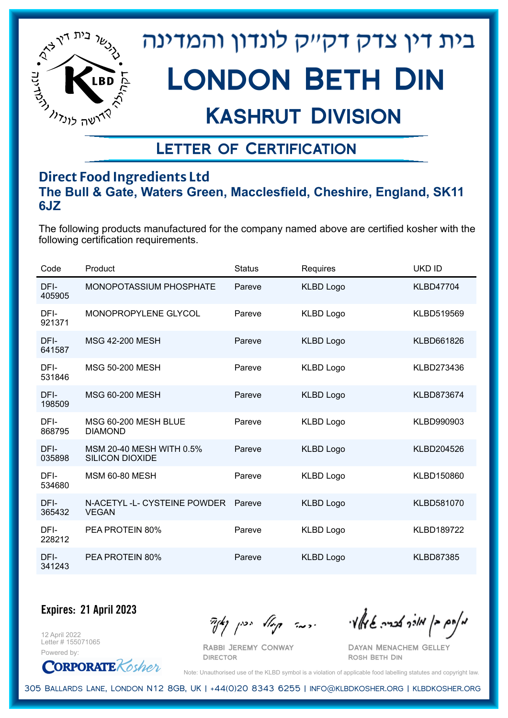

## Kashrut Division

## Letter of Certification

### **Direct Food Ingredients Ltd The Bull & Gate, Waters Green, Macclesfield, Cheshire, England, SK11 6JZ**

The following products manufactured for the company named above are certified kosher with the following certification requirements.

| Code           | Product                                            | <b>Status</b> | Requires         | UKD ID            |
|----------------|----------------------------------------------------|---------------|------------------|-------------------|
| DFI-<br>405905 | <b>MONOPOTASSIUM PHOSPHATE</b>                     | Pareve        | <b>KLBD Logo</b> | <b>KLBD47704</b>  |
| DFI-<br>921371 | MONOPROPYLENE GLYCOL                               | Pareve        | <b>KLBD Logo</b> | KLBD519569        |
| DFI-<br>641587 | <b>MSG 42-200 MESH</b>                             | Pareve        | <b>KLBD Logo</b> | KLBD661826        |
| DFI-<br>531846 | <b>MSG 50-200 MESH</b>                             | Pareve        | <b>KLBD Logo</b> | KLBD273436        |
| DFI-<br>198509 | MSG 60-200 MESH                                    | Pareve        | <b>KLBD Logo</b> | <b>KLBD873674</b> |
| DFI-<br>868795 | MSG 60-200 MESH BLUE<br><b>DIAMOND</b>             | Pareve        | <b>KLBD Logo</b> | KLBD990903        |
| DFI-<br>035898 | MSM 20-40 MESH WITH 0.5%<br><b>SILICON DIOXIDE</b> | Pareve        | <b>KLBD Logo</b> | KLBD204526        |
| DFI-<br>534680 | <b>MSM 60-80 MESH</b>                              | Pareve        | <b>KLBD Logo</b> | KLBD150860        |
| DFI-<br>365432 | N-ACETYL-L- CYSTEINE POWDER<br><b>VEGAN</b>        | Pareve        | <b>KLBD Logo</b> | KLBD581070        |
| DFI-<br>228212 | PEA PROTEIN 80%                                    | Pareve        | <b>KLBD Logo</b> | <b>KLBD189722</b> |
| DFI-<br>341243 | PEA PROTEIN 80%                                    | Pareve        | <b>KLBD Logo</b> | <b>KLBD87385</b>  |

**Expires: 21 April 2023**

12 April 2022 Letter # 155071065



Rabbi Jeremy Conway

 $\mathcal{H}_{\mathcal{C}}$   $\mathcal{H}_{\mathcal{C}}$   $\mathcal{H}_{\mathcal{C}}$   $\mathcal{H}_{\mathcal{C}}$   $\mathcal{H}_{\mathcal{C}}$   $\mathcal{H}_{\mathcal{C}}$   $\mathcal{H}_{\mathcal{C}}$   $\mathcal{H}_{\mathcal{C}}$   $\mathcal{H}_{\mathcal{C}}$   $\mathcal{H}_{\mathcal{C}}$   $\mathcal{H}_{\mathcal{C}}$   $\mathcal{H}_{\mathcal{C}}$ 

Dayan Menachem Gelley Rosh Beth Din

Note: Unauthorised use of the KLBD symbol is a violation of applicable food labelling statutes and copyright law.

305 Ballards Lane, London N12 8GB, UK | +44(0)20 8343 6255 | info@klbdkosher.org | klbdkosher.org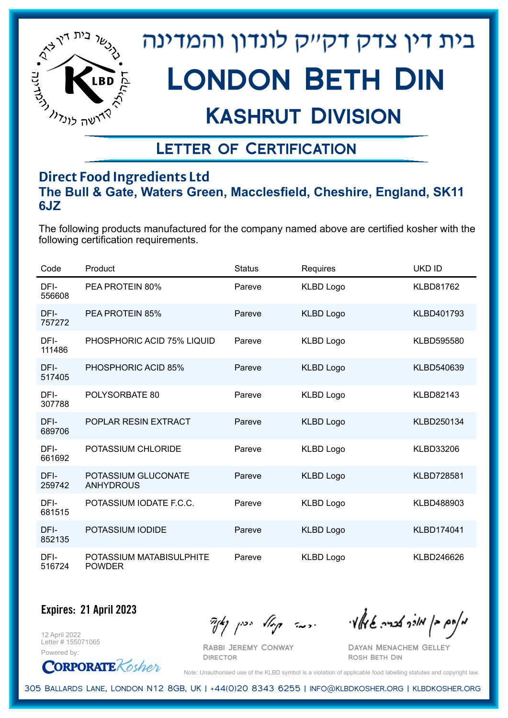

## Kashrut Division

## Letter of Certification

### **Direct Food Ingredients Ltd The Bull & Gate, Waters Green, Macclesfield, Cheshire, England, SK11 6JZ**

The following products manufactured for the company named above are certified kosher with the following certification requirements.

| Code           | Product                                   | <b>Status</b> | Requires         | UKD ID            |
|----------------|-------------------------------------------|---------------|------------------|-------------------|
| DFI-<br>556608 | PEA PROTEIN 80%                           | Pareve        | <b>KLBD Logo</b> | <b>KLBD81762</b>  |
| DFI-<br>757272 | <b>PEA PROTEIN 85%</b>                    | Pareve        | <b>KLBD Logo</b> | KLBD401793        |
| DFI-<br>111486 | PHOSPHORIC ACID 75% LIQUID                | Pareve        | <b>KLBD Logo</b> | KLBD595580        |
| DFI-<br>517405 | PHOSPHORIC ACID 85%                       | Pareve        | <b>KLBD Logo</b> | KLBD540639        |
| DFI-<br>307788 | POLYSORBATE 80                            | Pareve        | <b>KLBD Logo</b> | KLBD82143         |
| DFI-<br>689706 | POPLAR RESIN EXTRACT                      | Pareve        | <b>KLBD Logo</b> | KLBD250134        |
| DFI-<br>661692 | POTASSIUM CHLORIDE                        | Pareve        | <b>KLBD Logo</b> | <b>KLBD33206</b>  |
| DFI-<br>259742 | POTASSIUM GLUCONATE<br><b>ANHYDROUS</b>   | Pareve        | <b>KLBD Logo</b> | <b>KLBD728581</b> |
| DFI-<br>681515 | POTASSIUM IODATE F.C.C.                   | Pareve        | <b>KLBD Logo</b> | KLBD488903        |
| DFI-<br>852135 | POTASSIUM IODIDE                          | Pareve        | <b>KLBD Logo</b> | KLBD174041        |
| DFI-<br>516724 | POTASSIUM MATABISULPHITE<br><b>POWDER</b> | Pareve        | <b>KLBD Logo</b> | KLBD246626        |

**Expires: 21 April 2023**

12 April 2022 Letter # 155071065

Powered by: **CORPORATE** Kosher

Rabbi Jeremy Conway

 $\mathcal{H}_{\mathcal{C}}$   $\mathcal{H}_{\mathcal{C}}$   $\mathcal{H}_{\mathcal{C}}$   $\mathcal{H}_{\mathcal{C}}$   $\mathcal{H}_{\mathcal{C}}$   $\mathcal{H}_{\mathcal{C}}$   $\mathcal{H}_{\mathcal{C}}$   $\mathcal{H}_{\mathcal{C}}$   $\mathcal{H}_{\mathcal{C}}$   $\mathcal{H}_{\mathcal{C}}$   $\mathcal{H}_{\mathcal{C}}$   $\mathcal{H}_{\mathcal{C}}$ 

Dayan Menachem Gelley Rosh Beth Din

Note: Unauthorised use of the KLBD symbol is a violation of applicable food labelling statutes and copyright law.

305 Ballards Lane, London N12 8GB, UK | +44(0)20 8343 6255 | info@klbdkosher.org | klbdkosher.org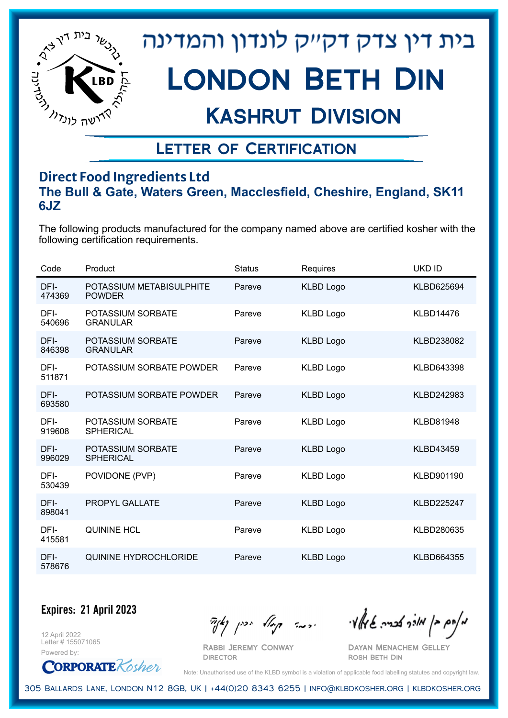

## Kashrut Division

### Letter of Certification

### **Direct Food Ingredients Ltd The Bull & Gate, Waters Green, Macclesfield, Cheshire, England, SK11 6JZ**

The following products manufactured for the company named above are certified kosher with the following certification requirements.

| Code           | Product                                   | <b>Status</b> | Requires         | UKD ID            |
|----------------|-------------------------------------------|---------------|------------------|-------------------|
| DFI-<br>474369 | POTASSIUM METABISULPHITE<br><b>POWDER</b> | Pareve        | <b>KLBD Logo</b> | KLBD625694        |
| DFI-<br>540696 | POTASSIUM SORBATE<br><b>GRANULAR</b>      | Pareve        | <b>KLBD Logo</b> | <b>KLBD14476</b>  |
| DFI-<br>846398 | POTASSIUM SORBATE<br><b>GRANULAR</b>      | Pareve        | <b>KLBD Logo</b> | KLBD238082        |
| DFI-<br>511871 | POTASSIUM SORBATE POWDER                  | Pareve        | <b>KLBD Logo</b> | KLBD643398        |
| DFI-<br>693580 | POTASSIUM SORBATE POWDER                  | Pareve        | <b>KLBD Logo</b> | KLBD242983        |
| DFI-<br>919608 | POTASSIUM SORBATE<br><b>SPHERICAL</b>     | Pareve        | <b>KLBD Logo</b> | <b>KLBD81948</b>  |
| DFI-<br>996029 | POTASSIUM SORBATE<br><b>SPHERICAL</b>     | Pareve        | <b>KLBD Logo</b> | <b>KLBD43459</b>  |
| DFI-<br>530439 | POVIDONE (PVP)                            | Pareve        | <b>KLBD Logo</b> | KLBD901190        |
| DFI-<br>898041 | PROPYL GALLATE                            | Pareve        | <b>KLBD Logo</b> | <b>KLBD225247</b> |
| DFI-<br>415581 | <b>QUININE HCL</b>                        | Pareve        | <b>KLBD Logo</b> | KLBD280635        |
| DFI-<br>578676 | QUININE HYDROCHLORIDE                     | Pareve        | <b>KLBD Logo</b> | KLBD664355        |

**Expires: 21 April 2023**

12 April 2022 Letter # 155071065



Rabbi Jeremy Conway

 $\mathcal{H}_{\mathcal{C}}$   $\mathcal{H}_{\mathcal{C}}$   $\mathcal{H}_{\mathcal{C}}$   $\mathcal{H}_{\mathcal{C}}$   $\mathcal{H}_{\mathcal{C}}$   $\mathcal{H}_{\mathcal{C}}$   $\mathcal{H}_{\mathcal{C}}$   $\mathcal{H}_{\mathcal{C}}$   $\mathcal{H}_{\mathcal{C}}$   $\mathcal{H}_{\mathcal{C}}$   $\mathcal{H}_{\mathcal{C}}$   $\mathcal{H}_{\mathcal{C}}$ 

Dayan Menachem Gelley Rosh Beth Din

Note: Unauthorised use of the KLBD symbol is a violation of applicable food labelling statutes and copyright law.

305 Ballards Lane, London N12 8GB, UK | +44(0)20 8343 6255 | info@klbdkosher.org | klbdkosher.org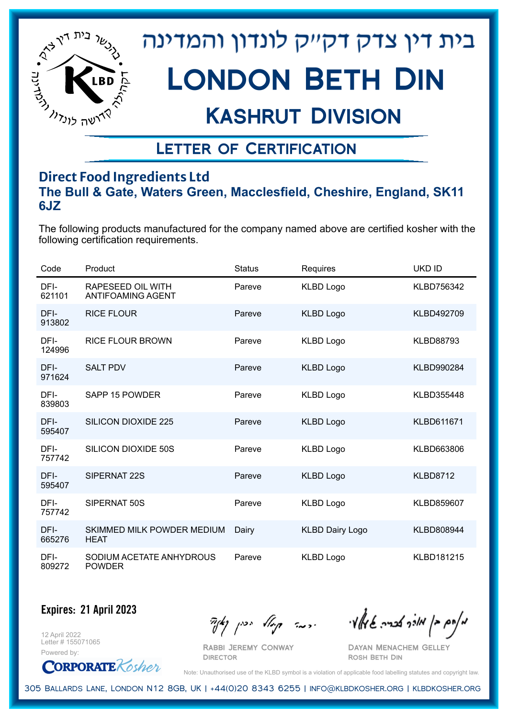

## Kashrut Division

## Letter of Certification

### **Direct Food Ingredients Ltd The Bull & Gate, Waters Green, Macclesfield, Cheshire, England, SK11 6JZ**

The following products manufactured for the company named above are certified kosher with the following certification requirements.

| Code           | Product                                       | <b>Status</b> | Requires               | <b>UKD ID</b>     |
|----------------|-----------------------------------------------|---------------|------------------------|-------------------|
| DFI-<br>621101 | RAPESEED OIL WITH<br><b>ANTIFOAMING AGENT</b> | Pareve        | <b>KLBD Logo</b>       | KLBD756342        |
| DFI-<br>913802 | <b>RICE FLOUR</b>                             | Pareve        | <b>KLBD Logo</b>       | KLBD492709        |
| DFI-<br>124996 | <b>RICE FLOUR BROWN</b>                       | Pareve        | <b>KLBD Logo</b>       | <b>KLBD88793</b>  |
| DFI-<br>971624 | <b>SALT PDV</b>                               | Pareve        | <b>KLBD Logo</b>       | <b>KLBD990284</b> |
| DFI-<br>839803 | SAPP 15 POWDER                                | Pareve        | <b>KLBD Logo</b>       | KLBD355448        |
| DFI-<br>595407 | <b>SILICON DIOXIDE 225</b>                    | Pareve        | <b>KLBD Logo</b>       | <b>KLBD611671</b> |
| DFI-<br>757742 | SILICON DIOXIDE 50S                           | Pareve        | <b>KLBD Logo</b>       | KLBD663806        |
| DFI-<br>595407 | SIPERNAT 22S                                  | Pareve        | <b>KLBD Logo</b>       | <b>KLBD8712</b>   |
| DFI-<br>757742 | SIPERNAT 50S                                  | Pareve        | <b>KLBD Logo</b>       | <b>KLBD859607</b> |
| DFI-<br>665276 | SKIMMED MILK POWDER MEDIUM<br><b>HEAT</b>     | Dairy         | <b>KLBD Dairy Logo</b> | <b>KLBD808944</b> |
| DFI-<br>809272 | SODIUM ACETATE ANHYDROUS<br><b>POWDER</b>     | Pareve        | <b>KLBD Logo</b>       | KLBD181215        |

**Expires: 21 April 2023**

12 April 2022 Letter # 155071065 Powered by:

Rabbi Jeremy Conway **DIRECTOR** 

 $\mathcal{H}_{\mathcal{C}}$   $\mathcal{H}_{\mathcal{C}}$   $\mathcal{H}_{\mathcal{C}}$   $\mathcal{H}_{\mathcal{C}}$   $\mathcal{H}_{\mathcal{C}}$   $\mathcal{H}_{\mathcal{C}}$   $\mathcal{H}_{\mathcal{C}}$   $\mathcal{H}_{\mathcal{C}}$   $\mathcal{H}_{\mathcal{C}}$   $\mathcal{H}_{\mathcal{C}}$   $\mathcal{H}_{\mathcal{C}}$   $\mathcal{H}_{\mathcal{C}}$ 

Dayan Menachem Gelley Rosh Beth Din

**CORPORATE** Kosher

Note: Unauthorised use of the KLBD symbol is a violation of applicable food labelling statutes and copyright law.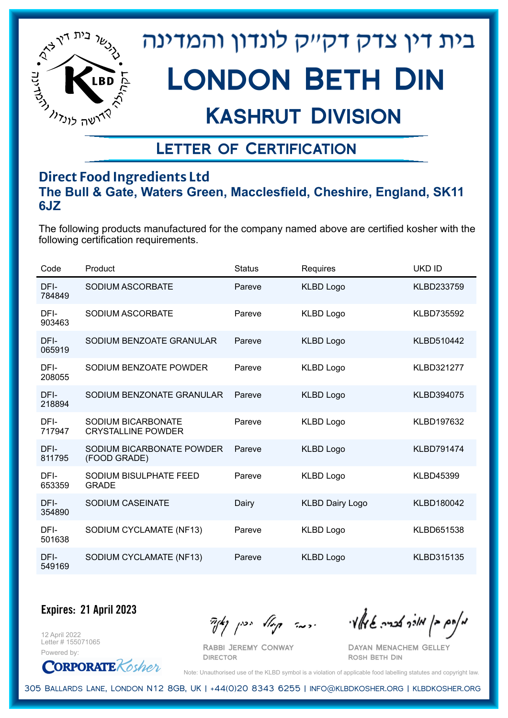

## Kashrut Division

## Letter of Certification

### **Direct Food Ingredients Ltd The Bull & Gate, Waters Green, Macclesfield, Cheshire, England, SK11 6JZ**

The following products manufactured for the company named above are certified kosher with the following certification requirements.

| Code           | Product                                         | <b>Status</b> | Requires               | UKD ID            |
|----------------|-------------------------------------------------|---------------|------------------------|-------------------|
| DFI-<br>784849 | SODIUM ASCORBATE                                | Pareve        | <b>KLBD Logo</b>       | KLBD233759        |
| DFI-<br>903463 | SODIUM ASCORBATE                                | Pareve        | <b>KLBD Logo</b>       | <b>KLBD735592</b> |
| DFI-<br>065919 | SODIUM BENZOATE GRANULAR                        | Pareve        | <b>KLBD Logo</b>       | KLBD510442        |
| DFI-<br>208055 | SODIUM BENZOATE POWDER                          | Pareve        | <b>KLBD Logo</b>       | <b>KLBD321277</b> |
| DFI-<br>218894 | SODIUM BENZONATE GRANULAR                       | Pareve        | <b>KLBD Logo</b>       | KLBD394075        |
| DFI-<br>717947 | SODIUM BICARBONATE<br><b>CRYSTALLINE POWDER</b> | Pareve        | <b>KLBD Logo</b>       | KLBD197632        |
| DFI-<br>811795 | SODIUM BICARBONATE POWDER<br>(FOOD GRADE)       | Pareve        | <b>KLBD Logo</b>       | <b>KLBD791474</b> |
| DFI-<br>653359 | SODIUM BISULPHATE FEED<br><b>GRADE</b>          | Pareve        | <b>KLBD Logo</b>       | <b>KLBD45399</b>  |
| DFI-<br>354890 | SODIUM CASEINATE                                | Dairy         | <b>KLBD Dairy Logo</b> | KLBD180042        |
| DFI-<br>501638 | SODIUM CYCLAMATE (NF13)                         | Pareve        | <b>KLBD Logo</b>       | KLBD651538        |
| DFI-<br>549169 | SODIUM CYCLAMATE (NF13)                         | Pareve        | <b>KLBD Logo</b>       | KLBD315135        |

**Expires: 21 April 2023**

12 April 2022 Letter # 155071065

Powered by: **CORPORATE** Kosher

Rabbi Jeremy Conway

 $\frac{1}{2}$ אלה אברה שיאלי ווינדי שיאלי וואדו בין קיצו

Dayan Menachem Gelley Rosh Beth Din

Note: Unauthorised use of the KLBD symbol is a violation of applicable food labelling statutes and copyright law.

305 Ballards Lane, London N12 8GB, UK | +44(0)20 8343 6255 | info@klbdkosher.org | klbdkosher.org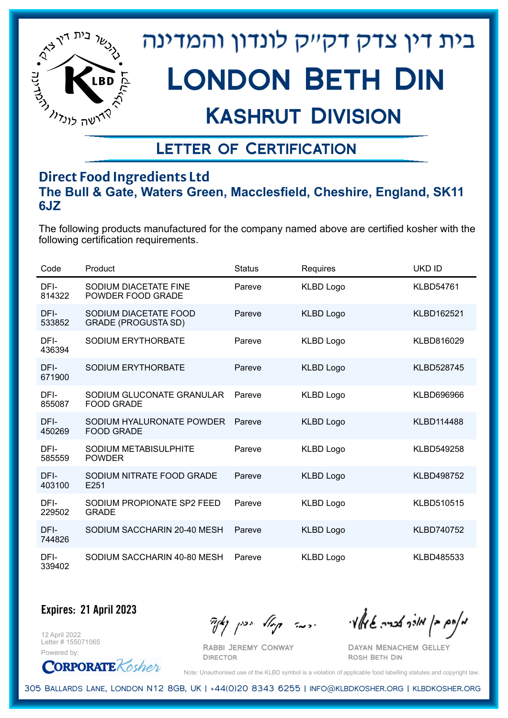

# Kashrut Division

## Letter of Certification

### **Direct Food Ingredients Ltd The Bull & Gate, Waters Green, Macclesfield, Cheshire, England, SK11 6JZ**

The following products manufactured for the company named above are certified kosher with the following certification requirements.

| Code           | Product                                             | <b>Status</b> | <b>Requires</b>  | <b>UKD ID</b>     |
|----------------|-----------------------------------------------------|---------------|------------------|-------------------|
| DFI-<br>814322 | SODIUM DIACETATE FINE<br>POWDER FOOD GRADE          | Pareve        | <b>KLBD Logo</b> | <b>KLBD54761</b>  |
| DFI-<br>533852 | SODIUM DIACETATE FOOD<br><b>GRADE (PROGUSTA SD)</b> | Pareve        | <b>KLBD Logo</b> | KLBD162521        |
| DFI-<br>436394 | SODIUM ERYTHORBATE                                  | Pareve        | <b>KLBD Logo</b> | KLBD816029        |
| DFI-<br>671900 | SODIUM ERYTHORBATE                                  | Pareve        | <b>KLBD Logo</b> | <b>KLBD528745</b> |
| DFI-<br>855087 | SODIUM GLUCONATE GRANULAR<br><b>FOOD GRADE</b>      | Pareve        | <b>KLBD Logo</b> | KLBD696966        |
| DFI-<br>450269 | SODIUM HYALURONATE POWDER<br><b>FOOD GRADE</b>      | Pareve        | <b>KLBD Logo</b> | <b>KLBD114488</b> |
| DFI-<br>585559 | SODIUM METABISULPHITE<br><b>POWDER</b>              | Pareve        | <b>KLBD Logo</b> | KLBD549258        |
| DFI-<br>403100 | SODIUM NITRATE FOOD GRADE<br>E251                   | Pareve        | <b>KLBD Logo</b> | <b>KLBD498752</b> |
| DFI-<br>229502 | SODIUM PROPIONATE SP2 FEED<br><b>GRADE</b>          | Pareve        | <b>KLBD Logo</b> | KLBD510515        |
| DFI-<br>744826 | SODIUM SACCHARIN 20-40 MESH                         | Pareve        | <b>KLBD Logo</b> | <b>KLBD740752</b> |
| DFI-<br>339402 | SODIUM SACCHARIN 40-80 MESH                         | Pareve        | <b>KLBD Logo</b> | KLBD485533        |

**Expires: 21 April 2023**

12 April 2022 Letter # 155071065 Powered by:

**CORPORATE** Kosher

Rabbi Jeremy Conway

 $\mathcal{H}_{\mathcal{C}}$   $\mathcal{H}_{\mathcal{C}}$   $\mathcal{H}_{\mathcal{C}}$   $\mathcal{H}_{\mathcal{C}}$   $\mathcal{H}_{\mathcal{C}}$   $\mathcal{H}_{\mathcal{C}}$   $\mathcal{H}_{\mathcal{C}}$   $\mathcal{H}_{\mathcal{C}}$   $\mathcal{H}_{\mathcal{C}}$   $\mathcal{H}_{\mathcal{C}}$   $\mathcal{H}_{\mathcal{C}}$   $\mathcal{H}_{\mathcal{C}}$ 

Dayan Menachem Gelley Rosh Beth Din

Note: Unauthorised use of the KLBD symbol is a violation of applicable food labelling statutes and copyright law.

305 Ballards Lane, London N12 8GB, UK | +44(0)20 8343 6255 | info@klbdkosher.org | klbdkosher.org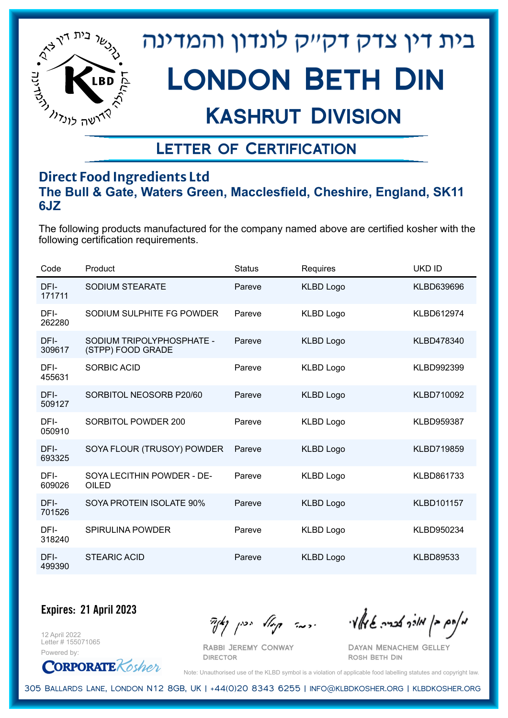

## Kashrut Division

### Letter of Certification

### **Direct Food Ingredients Ltd The Bull & Gate, Waters Green, Macclesfield, Cheshire, England, SK11 6JZ**

The following products manufactured for the company named above are certified kosher with the following certification requirements.

| Code           | Product                                        | <b>Status</b> | Requires         | <b>UKD ID</b>     |
|----------------|------------------------------------------------|---------------|------------------|-------------------|
| DFI-<br>171711 | SODIUM STEARATE                                | Pareve        | <b>KLBD Logo</b> | KLBD639696        |
| DFI-<br>262280 | SODIUM SULPHITE FG POWDER                      | Pareve        | <b>KLBD Logo</b> | KLBD612974        |
| DFI-<br>309617 | SODIUM TRIPOLYPHOSPHATE -<br>(STPP) FOOD GRADE | Pareve        | <b>KLBD Logo</b> | KLBD478340        |
| DFI-<br>455631 | <b>SORBIC ACID</b>                             | Pareve        | <b>KLBD Logo</b> | KLBD992399        |
| DFI-<br>509127 | SORBITOL NEOSORB P20/60                        | Pareve        | <b>KLBD Logo</b> | KLBD710092        |
| DFI-<br>050910 | SORBITOL POWDER 200                            | Pareve        | <b>KLBD Logo</b> | <b>KLBD959387</b> |
| DFI-<br>693325 | SOYA FLOUR (TRUSOY) POWDER                     | Pareve        | <b>KLBD Logo</b> | KLBD719859        |
| DFI-<br>609026 | SOYA LECITHIN POWDER - DE-<br>OILED            | Pareve        | <b>KLBD Logo</b> | KLBD861733        |
| DFI-<br>701526 | SOYA PROTEIN ISOLATE 90%                       | Pareve        | <b>KLBD Logo</b> | <b>KLBD101157</b> |
| DFI-<br>318240 | <b>SPIRULINA POWDER</b>                        | Pareve        | <b>KLBD Logo</b> | KLBD950234        |
| DFI-<br>499390 | <b>STEARIC ACID</b>                            | Pareve        | <b>KLBD Logo</b> | <b>KLBD89533</b>  |

**Expires: 21 April 2023**

12 April 2022 Letter # 155071065



Rabbi Jeremy Conway

 $\mathcal{H}_{\mathcal{C}}$   $\mathcal{H}_{\mathcal{C}}$   $\mathcal{H}_{\mathcal{C}}$   $\mathcal{H}_{\mathcal{C}}$   $\mathcal{H}_{\mathcal{C}}$   $\mathcal{H}_{\mathcal{C}}$   $\mathcal{H}_{\mathcal{C}}$   $\mathcal{H}_{\mathcal{C}}$   $\mathcal{H}_{\mathcal{C}}$   $\mathcal{H}_{\mathcal{C}}$   $\mathcal{H}_{\mathcal{C}}$   $\mathcal{H}_{\mathcal{C}}$ 

Dayan Menachem Gelley Rosh Beth Din

Note: Unauthorised use of the KLBD symbol is a violation of applicable food labelling statutes and copyright law.

305 Ballards Lane, London N12 8GB, UK | +44(0)20 8343 6255 | info@klbdkosher.org | klbdkosher.org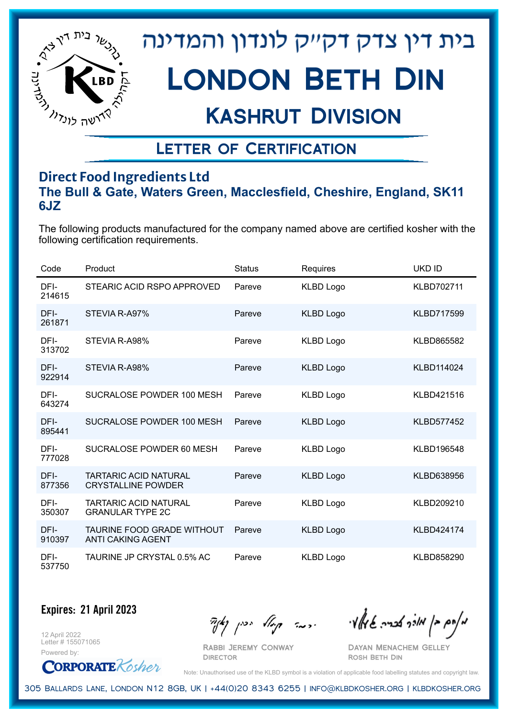

## Kashrut Division

## Letter of Certification

### **Direct Food Ingredients Ltd The Bull & Gate, Waters Green, Macclesfield, Cheshire, England, SK11 6JZ**

The following products manufactured for the company named above are certified kosher with the following certification requirements.

| Code           | Product                                                   | <b>Status</b> | Requires         | UKD ID            |
|----------------|-----------------------------------------------------------|---------------|------------------|-------------------|
| DFI-<br>214615 | STEARIC ACID RSPO APPROVED                                | Pareve        | <b>KLBD Logo</b> | KLBD702711        |
| DFI-<br>261871 | STEVIA R-A97%                                             | Pareve        | <b>KLBD Logo</b> | <b>KLBD717599</b> |
| DFI-<br>313702 | STEVIA R-A98%                                             | Pareve        | <b>KLBD Logo</b> | KLBD865582        |
| DFI-<br>922914 | STEVIA R-A98%                                             | Pareve        | <b>KLBD Logo</b> | KLBD114024        |
| DFI-<br>643274 | SUCRALOSE POWDER 100 MESH                                 | Pareve        | <b>KLBD Logo</b> | KLBD421516        |
| DFI-<br>895441 | SUCRALOSE POWDER 100 MESH                                 | Pareve        | <b>KLBD Logo</b> | <b>KLBD577452</b> |
| DFI-<br>777028 | SUCRALOSE POWDER 60 MESH                                  | Pareve        | <b>KLBD Logo</b> | KLBD196548        |
| DFI-<br>877356 | <b>TARTARIC ACID NATURAL</b><br><b>CRYSTALLINE POWDER</b> | Pareve        | <b>KLBD Logo</b> | KLBD638956        |
| DFI-<br>350307 | <b>TARTARIC ACID NATURAL</b><br><b>GRANULAR TYPE 2C</b>   | Pareve        | <b>KLBD Logo</b> | KLBD209210        |
| DFI-<br>910397 | TAURINE FOOD GRADE WITHOUT<br><b>ANTI CAKING AGENT</b>    | Pareve        | <b>KLBD Logo</b> | KLBD424174        |
| DFI-<br>537750 | TAURINE JP CRYSTAL 0.5% AC                                | Pareve        | <b>KLBD Logo</b> | KLBD858290        |

**Expires: 21 April 2023**

12 April 2022 Letter # 155071065 Powered by:

**CORPORATE** Kosher

Rabbi Jeremy Conway

**DIRECTOR** 

 $\mathcal{H}_{\mathcal{C}}$   $\mathcal{H}_{\mathcal{C}}$   $\mathcal{H}_{\mathcal{C}}$   $\mathcal{H}_{\mathcal{C}}$   $\mathcal{H}_{\mathcal{C}}$   $\mathcal{H}_{\mathcal{C}}$   $\mathcal{H}_{\mathcal{C}}$   $\mathcal{H}_{\mathcal{C}}$   $\mathcal{H}_{\mathcal{C}}$   $\mathcal{H}_{\mathcal{C}}$   $\mathcal{H}_{\mathcal{C}}$   $\mathcal{H}_{\mathcal{C}}$ 

Dayan Menachem Gelley Rosh Beth Din

Note: Unauthorised use of the KLBD symbol is a violation of applicable food labelling statutes and copyright law.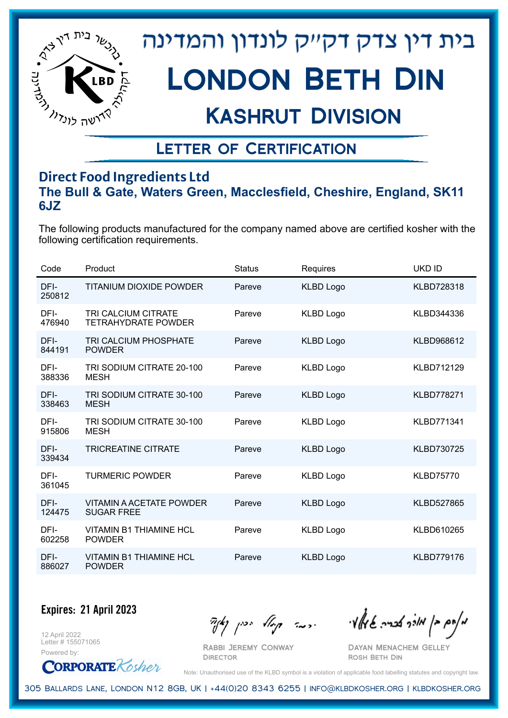

## Kashrut Division

### Letter of Certification

### **Direct Food Ingredients Ltd The Bull & Gate, Waters Green, Macclesfield, Cheshire, England, SK11 6JZ**

The following products manufactured for the company named above are certified kosher with the following certification requirements.

| Code           | Product                                              | <b>Status</b> | Requires         | UKD ID            |
|----------------|------------------------------------------------------|---------------|------------------|-------------------|
| DFI-<br>250812 | <b>TITANIUM DIOXIDE POWDER</b>                       | Pareve        | <b>KLBD Logo</b> | <b>KLBD728318</b> |
| DFI-<br>476940 | TRI CALCIUM CITRATE<br><b>TETRAHYDRATE POWDER</b>    | Pareve        | <b>KLBD Logo</b> | KLBD344336        |
| DFI-<br>844191 | TRI CALCIUM PHOSPHATE<br><b>POWDER</b>               | Pareve        | <b>KLBD Logo</b> | KLBD968612        |
| DFI-<br>388336 | TRI SODIUM CITRATE 20-100<br><b>MESH</b>             | Pareve        | <b>KLBD Logo</b> | KLBD712129        |
| DFI-<br>338463 | TRI SODIUM CITRATE 30-100<br><b>MESH</b>             | Pareve        | <b>KLBD Logo</b> | <b>KLBD778271</b> |
| DFI-<br>915806 | TRI SODIUM CITRATE 30-100<br><b>MESH</b>             | Pareve        | <b>KLBD Logo</b> | <b>KLBD771341</b> |
| DFI-<br>339434 | <b>TRICREATINE CITRATE</b>                           | Pareve        | <b>KLBD Logo</b> | <b>KLBD730725</b> |
| DFI-<br>361045 | <b>TURMERIC POWDER</b>                               | Pareve        | <b>KLBD Logo</b> | <b>KLBD75770</b>  |
| DFI-<br>124475 | <b>VITAMIN A ACETATE POWDER</b><br><b>SUGAR FREE</b> | Pareve        | <b>KLBD Logo</b> | <b>KLBD527865</b> |
| DFI-<br>602258 | <b>VITAMIN B1 THIAMINE HCL</b><br><b>POWDER</b>      | Pareve        | <b>KLBD Logo</b> | KLBD610265        |
| DFI-<br>886027 | VITAMIN B1 THIAMINE HCL<br><b>POWDER</b>             | Pareve        | <b>KLBD Logo</b> | <b>KLBD779176</b> |

**Expires: 21 April 2023**

12 April 2022 Letter # 155071065



Rabbi Jeremy Conway

 $\mathcal{H}_{\mathcal{C}}$   $\mathcal{H}_{\mathcal{C}}$   $\mathcal{H}_{\mathcal{C}}$   $\mathcal{H}_{\mathcal{C}}$   $\mathcal{H}_{\mathcal{C}}$   $\mathcal{H}_{\mathcal{C}}$   $\mathcal{H}_{\mathcal{C}}$   $\mathcal{H}_{\mathcal{C}}$   $\mathcal{H}_{\mathcal{C}}$   $\mathcal{H}_{\mathcal{C}}$   $\mathcal{H}_{\mathcal{C}}$   $\mathcal{H}_{\mathcal{C}}$ 

Dayan Menachem Gelley Rosh Beth Din

Note: Unauthorised use of the KLBD symbol is a violation of applicable food labelling statutes and copyright law.

305 Ballards Lane, London N12 8GB, UK | +44(0)20 8343 6255 | info@klbdkosher.org | klbdkosher.org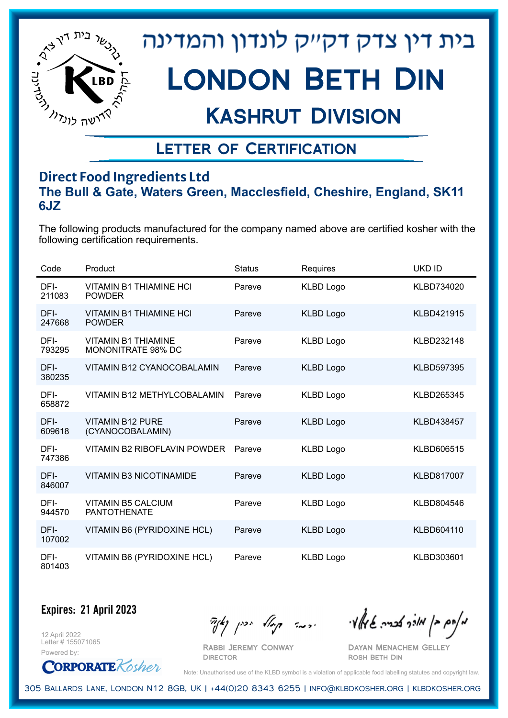

## Kashrut Division

### Letter of Certification

### **Direct Food Ingredients Ltd The Bull & Gate, Waters Green, Macclesfield, Cheshire, England, SK11 6JZ**

The following products manufactured for the company named above are certified kosher with the following certification requirements.

| Code           | Product                                          | <b>Status</b> | Requires         | UKD ID            |
|----------------|--------------------------------------------------|---------------|------------------|-------------------|
| DFI-<br>211083 | <b>VITAMIN B1 THIAMINE HCI</b><br><b>POWDER</b>  | Pareve        | <b>KLBD Logo</b> | KLBD734020        |
| DFI-<br>247668 | <b>VITAMIN B1 THIAMINE HCI</b><br><b>POWDER</b>  | Pareve        | <b>KLBD Logo</b> | KLBD421915        |
| DFI-<br>793295 | <b>VITAMIN B1 THIAMINE</b><br>MONONITRATE 98% DC | Pareve        | <b>KLBD Logo</b> | KLBD232148        |
| DFI-<br>380235 | VITAMIN B12 CYANOCOBALAMIN                       | Pareve        | <b>KLBD Logo</b> | <b>KLBD597395</b> |
| DFI-<br>658872 | <b>VITAMIN B12 METHYLCOBALAMIN</b>               | Pareve        | <b>KLBD Logo</b> | KLBD265345        |
| DFI-<br>609618 | <b>VITAMIN B12 PURE</b><br>(CYANOCOBALAMIN)      | Pareve        | <b>KLBD Logo</b> | KLBD438457        |
| DFI-<br>747386 | <b>VITAMIN B2 RIBOFLAVIN POWDER</b>              | Pareve        | <b>KLBD Logo</b> | KLBD606515        |
| DFI-<br>846007 | <b>VITAMIN B3 NICOTINAMIDE</b>                   | Pareve        | <b>KLBD Logo</b> | <b>KLBD817007</b> |
| DFI-<br>944570 | <b>VITAMIN B5 CALCIUM</b><br><b>PANTOTHENATE</b> | Pareve        | <b>KLBD Logo</b> | KLBD804546        |
| DFI-<br>107002 | <b>VITAMIN B6 (PYRIDOXINE HCL)</b>               | Pareve        | <b>KLBD Logo</b> | KLBD604110        |
| DFI-<br>801403 | VITAMIN B6 (PYRIDOXINE HCL)                      | Pareve        | <b>KLBD Logo</b> | KLBD303601        |

**Expires: 21 April 2023**

12 April 2022 Letter # 155071065

Powered by: **CORPORATE** Kosher

Rabbi Jeremy Conway

 $\mathcal{H}_{\mathcal{C}}$   $\mathcal{H}_{\mathcal{C}}$   $\mathcal{H}_{\mathcal{C}}$   $\mathcal{H}_{\mathcal{C}}$   $\mathcal{H}_{\mathcal{C}}$   $\mathcal{H}_{\mathcal{C}}$   $\mathcal{H}_{\mathcal{C}}$   $\mathcal{H}_{\mathcal{C}}$   $\mathcal{H}_{\mathcal{C}}$   $\mathcal{H}_{\mathcal{C}}$   $\mathcal{H}_{\mathcal{C}}$   $\mathcal{H}_{\mathcal{C}}$ 

Dayan Menachem Gelley Rosh Beth Din

Note: Unauthorised use of the KLBD symbol is a violation of applicable food labelling statutes and copyright law.

305 Ballards Lane, London N12 8GB, UK | +44(0)20 8343 6255 | info@klbdkosher.org | klbdkosher.org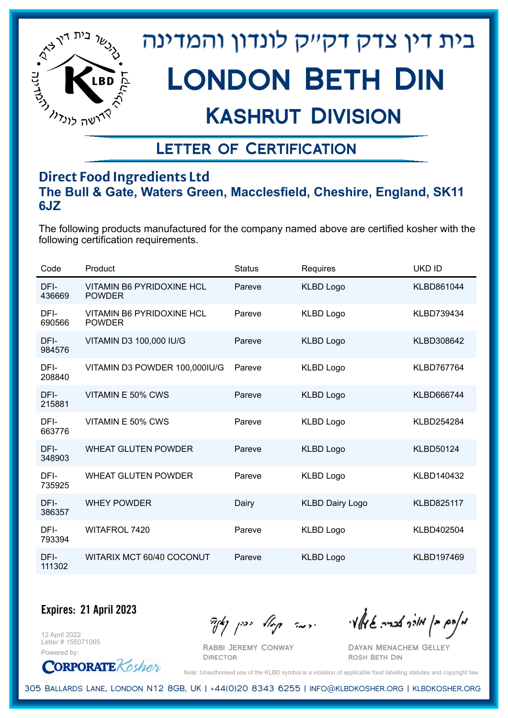

## Kashrut Division

### Letter of Certification

### **Direct Food Ingredients Ltd The Bull & Gate, Waters Green, Macclesfield, Cheshire, England, SK11 6JZ**

The following products manufactured for the company named above are certified kosher with the following certification requirements.

| Code           | Product                                           | <b>Status</b> | Requires               | <b>UKD ID</b>     |
|----------------|---------------------------------------------------|---------------|------------------------|-------------------|
| DFI-<br>436669 | <b>VITAMIN B6 PYRIDOXINE HCL</b><br><b>POWDER</b> | Pareve        | <b>KLBD Logo</b>       | KLBD861044        |
| DFI-<br>690566 | <b>VITAMIN B6 PYRIDOXINE HCL</b><br><b>POWDER</b> | Pareve        | <b>KLBD Logo</b>       | KLBD739434        |
| DFI-<br>984576 | VITAMIN D3 100,000 IU/G                           | Pareve        | <b>KLBD Logo</b>       | KLBD308642        |
| DFI-<br>208840 | VITAMIN D3 POWDER 100,000IU/G                     | Pareve        | <b>KLBD Logo</b>       | KLBD767764        |
| DFI-<br>215881 | VITAMIN E 50% CWS                                 | Pareve        | <b>KLBD Logo</b>       | KLBD666744        |
| DFI-<br>663776 | VITAMIN E 50% CWS                                 | Pareve        | <b>KLBD Logo</b>       | KLBD254284        |
| DFI-<br>348903 | <b>WHEAT GLUTEN POWDER</b>                        | Pareve        | <b>KLBD Logo</b>       | <b>KLBD50124</b>  |
| DFI-<br>735925 | <b>WHEAT GLUTEN POWDER</b>                        | Pareve        | <b>KLBD Logo</b>       | KLBD140432        |
| DFI-<br>386357 | <b>WHEY POWDER</b>                                | Dairy         | <b>KLBD Dairy Logo</b> | <b>KLBD825117</b> |
| DFI-<br>793394 | WITAFROL 7420                                     | Pareve        | <b>KLBD Logo</b>       | KLBD402504        |
| DFI-<br>111302 | WITARIX MCT 60/40 COCONUT                         | Pareve        | <b>KLBD Logo</b>       | KLBD197469        |

**Expires: 21 April 2023**

12 April 2022 Letter # 155071065



Rabbi Jeremy Conway

 $\mathcal{H}_{\mathcal{C}}$   $\mathcal{H}_{\mathcal{C}}$   $\mathcal{H}_{\mathcal{C}}$   $\mathcal{H}_{\mathcal{C}}$   $\mathcal{H}_{\mathcal{C}}$   $\mathcal{H}_{\mathcal{C}}$   $\mathcal{H}_{\mathcal{C}}$   $\mathcal{H}_{\mathcal{C}}$   $\mathcal{H}_{\mathcal{C}}$   $\mathcal{H}_{\mathcal{C}}$   $\mathcal{H}_{\mathcal{C}}$   $\mathcal{H}_{\mathcal{C}}$ 

Dayan Menachem Gelley Rosh Beth Din

Note: Unauthorised use of the KLBD symbol is a violation of applicable food labelling statutes and copyright law.

305 Ballards Lane, London N12 8GB, UK | +44(0)20 8343 6255 | info@klbdkosher.org | klbdkosher.org